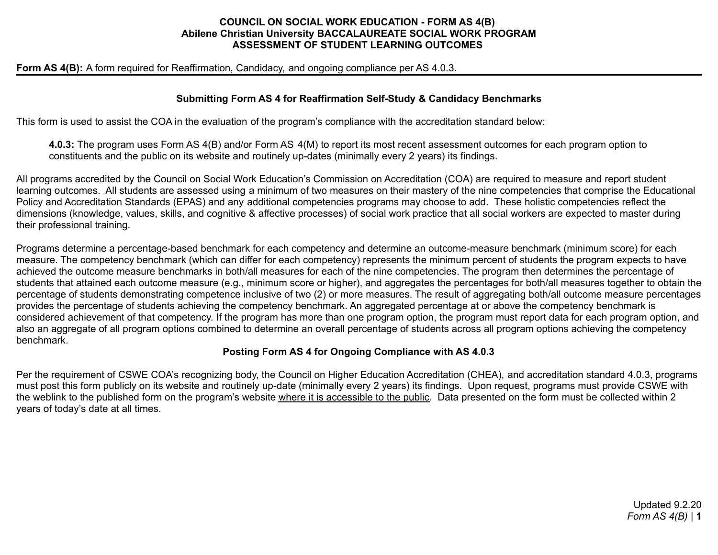## **COUNCIL ON SOCIAL WORK EDUCATION - FORM AS 4(B) Abilene Christian University BACCALAUREATE SOCIAL WORK PROGRAM ASSESSMENT OF STUDENT LEARNING OUTCOMES**

## **Form AS 4(B):** A form required for Reaffirmation, Candidacy, and ongoing compliance per AS 4.0.3.

## **Submitting Form AS 4 for Reaffirmation Self-Study & Candidacy Benchmarks**

This form is used to assist the COA in the evaluation of the program's compliance with the accreditation standard below:

**4.0.3:** The program uses Form AS 4(B) and/or Form AS 4(M) to report its most recent assessment outcomes for each program option to constituents and the public on its website and routinely up-dates (minimally every 2 years) its findings.

All programs accredited by the Council on Social Work Education's Commission on Accreditation (COA) are required to measure and report student learning outcomes. All students are assessed using a minimum of two measures on their mastery of the nine competencies that comprise the Educational Policy and Accreditation Standards (EPAS) and any additional competencies programs may choose to add. These holistic competencies reflect the dimensions (knowledge, values, skills, and cognitive & affective processes) of social work practice that all social workers are expected to master during their professional training.

Programs determine a percentage-based benchmark for each competency and determine an outcome-measure benchmark (minimum score) for each measure. The competency benchmark (which can differ for each competency) represents the minimum percent of students the program expects to have achieved the outcome measure benchmarks in both/all measures for each of the nine competencies. The program then determines the percentage of students that attained each outcome measure (e.g., minimum score or higher), and aggregates the percentages for both/all measures together to obtain the percentage of students demonstrating competence inclusive of two (2) or more measures. The result of aggregating both/all outcome measure percentages provides the percentage of students achieving the competency benchmark. An aggregated percentage at or above the competency benchmark is considered achievement of that competency. If the program has more than one program option, the program must report data for each program option, and also an aggregate of all program options combined to determine an overall percentage of students across all program options achieving the competency benchmark.

## **Posting Form AS 4 for Ongoing Compliance with AS 4.0.3**

Per the requirement of CSWE COA's recognizing body, the Council on Higher Education Accreditation (CHEA), and accreditation standard 4.0.3, programs must post this form publicly on its website and routinely up-date (minimally every 2 years) its findings. Upon request, programs must provide CSWE with the weblink to the published form on the program's website where it is accessible to the public. Data presented on the form must be collected within 2 years of today's date at all times.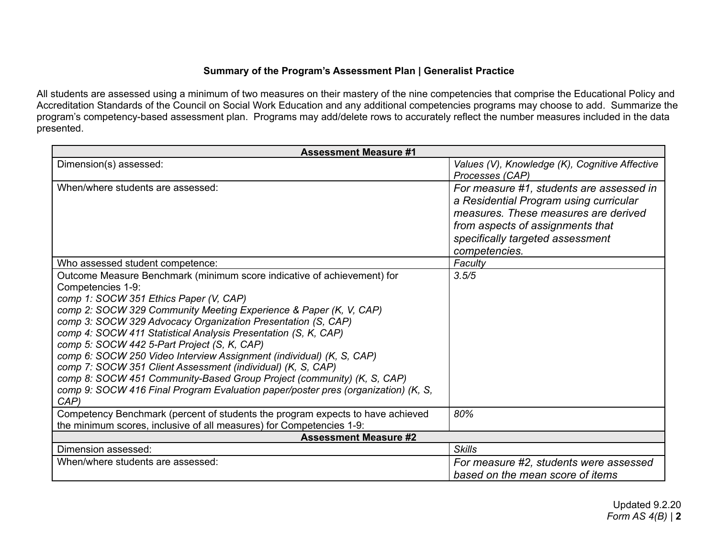# **Summary of the Program's Assessment Plan | Generalist Practice**

All students are assessed using a minimum of two measures on their mastery of the nine competencies that comprise the Educational Policy and Accreditation Standards of the Council on Social Work Education and any additional competencies programs may choose to add. Summarize the program's competency-based assessment plan. Programs may add/delete rows to accurately reflect the number measures included in the data presented.

| <b>Assessment Measure #1</b>                                                                                                                                                                                                                                                                                                                                                                                                                                                                                                                                                                                                                                                                               |                                                                                                                                                                                                                     |  |  |  |
|------------------------------------------------------------------------------------------------------------------------------------------------------------------------------------------------------------------------------------------------------------------------------------------------------------------------------------------------------------------------------------------------------------------------------------------------------------------------------------------------------------------------------------------------------------------------------------------------------------------------------------------------------------------------------------------------------------|---------------------------------------------------------------------------------------------------------------------------------------------------------------------------------------------------------------------|--|--|--|
| Dimension(s) assessed:                                                                                                                                                                                                                                                                                                                                                                                                                                                                                                                                                                                                                                                                                     | Values (V), Knowledge (K), Cognitive Affective<br>Processes (CAP)                                                                                                                                                   |  |  |  |
| When/where students are assessed:                                                                                                                                                                                                                                                                                                                                                                                                                                                                                                                                                                                                                                                                          | For measure #1, students are assessed in<br>a Residential Program using curricular<br>measures. These measures are derived<br>from aspects of assignments that<br>specifically targeted assessment<br>competencies. |  |  |  |
| Who assessed student competence:                                                                                                                                                                                                                                                                                                                                                                                                                                                                                                                                                                                                                                                                           | Faculty                                                                                                                                                                                                             |  |  |  |
| Outcome Measure Benchmark (minimum score indicative of achievement) for<br>Competencies 1-9:<br>comp 1: SOCW 351 Ethics Paper (V, CAP)<br>comp 2: SOCW 329 Community Meeting Experience & Paper (K, V, CAP)<br>comp 3: SOCW 329 Advocacy Organization Presentation (S, CAP)<br>comp 4: SOCW 411 Statistical Analysis Presentation (S, K, CAP)<br>comp 5: SOCW 442 5-Part Project (S, K, CAP)<br>comp 6: SOCW 250 Video Interview Assignment (individual) (K, S, CAP)<br>comp 7: SOCW 351 Client Assessment (individual) (K, S, CAP)<br>comp 8: SOCW 451 Community-Based Group Project (community) (K, S, CAP)<br>comp 9: SOCW 416 Final Program Evaluation paper/poster pres (organization) (K, S,<br>CAP) | 3.5/5                                                                                                                                                                                                               |  |  |  |
| Competency Benchmark (percent of students the program expects to have achieved<br>the minimum scores, inclusive of all measures) for Competencies 1-9:                                                                                                                                                                                                                                                                                                                                                                                                                                                                                                                                                     | 80%                                                                                                                                                                                                                 |  |  |  |
| <b>Assessment Measure #2</b>                                                                                                                                                                                                                                                                                                                                                                                                                                                                                                                                                                                                                                                                               |                                                                                                                                                                                                                     |  |  |  |
| Dimension assessed:                                                                                                                                                                                                                                                                                                                                                                                                                                                                                                                                                                                                                                                                                        | <b>Skills</b>                                                                                                                                                                                                       |  |  |  |
| When/where students are assessed:                                                                                                                                                                                                                                                                                                                                                                                                                                                                                                                                                                                                                                                                          | For measure #2, students were assessed<br>based on the mean score of items                                                                                                                                          |  |  |  |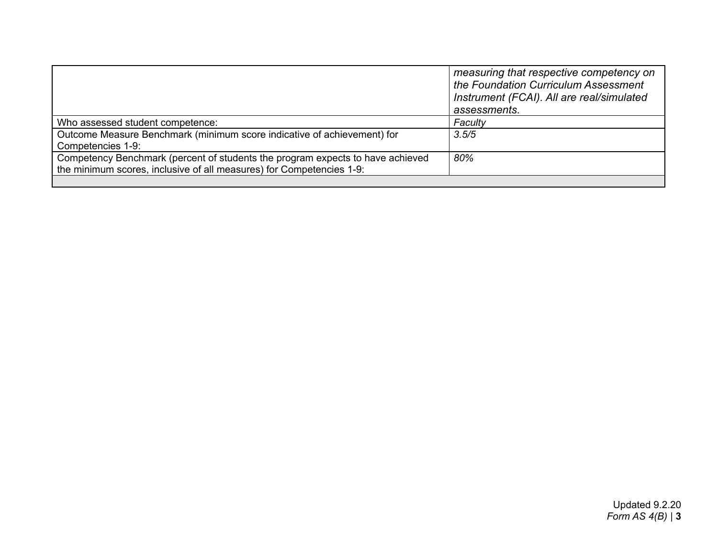|                                                                                                                                                        | measuring that respective competency on<br>the Foundation Curriculum Assessment<br>Instrument (FCAI). All are real/simulated<br>assessments. |
|--------------------------------------------------------------------------------------------------------------------------------------------------------|----------------------------------------------------------------------------------------------------------------------------------------------|
| Who assessed student competence:                                                                                                                       | Faculty                                                                                                                                      |
| Outcome Measure Benchmark (minimum score indicative of achievement) for<br>Competencies 1-9:                                                           | 3.5/5                                                                                                                                        |
| Competency Benchmark (percent of students the program expects to have achieved<br>the minimum scores, inclusive of all measures) for Competencies 1-9: | 80%                                                                                                                                          |
|                                                                                                                                                        |                                                                                                                                              |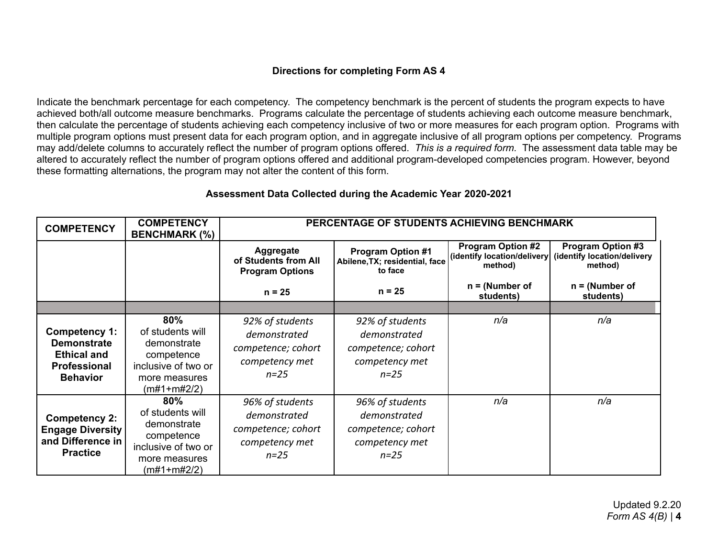# **Directions for completing Form AS 4**

Indicate the benchmark percentage for each competency. The competency benchmark is the percent of students the program expects to have achieved both/all outcome measure benchmarks. Programs calculate the percentage of students achieving each outcome measure benchmark, then calculate the percentage of students achieving each competency inclusive of two or more measures for each program option. Programs with multiple program options must present data for each program option, and in aggregate inclusive of all program options per competency. Programs may add/delete columns to accurately reflect the number of program options offered. *This is a required form.* The assessment data table may be altered to accurately reflect the number of program options offered and additional program-developed competencies program. However, beyond these formatting alternations, the program may not alter the content of this form.

| <b>COMPETENCY</b>                                                                            | <b>COMPETENCY</b><br><b>BENCHMARK (%)</b>                                                                   | PERCENTAGE OF STUDENTS ACHIEVING BENCHMARK                                          |                                                                                     |                                                                     |                                                                    |
|----------------------------------------------------------------------------------------------|-------------------------------------------------------------------------------------------------------------|-------------------------------------------------------------------------------------|-------------------------------------------------------------------------------------|---------------------------------------------------------------------|--------------------------------------------------------------------|
|                                                                                              |                                                                                                             | Aggregate<br>of Students from All<br><b>Program Options</b>                         | <b>Program Option #1</b><br>Abilene, TX; residential, face<br>to face               | <b>Program Option #2</b><br>(identify location/delivery)<br>method) | <b>Program Option #3</b><br>(identify location/delivery<br>method) |
|                                                                                              |                                                                                                             | $n = 25$                                                                            | $n = 25$                                                                            | $n = (Number of$<br>students)                                       | $n = (Number of$<br>students)                                      |
|                                                                                              |                                                                                                             |                                                                                     |                                                                                     |                                                                     |                                                                    |
| Competency 1:<br><b>Demonstrate</b><br><b>Ethical and</b><br>Professional<br><b>Behavior</b> | 80%<br>of students will<br>demonstrate<br>competence<br>inclusive of two or<br>more measures<br>(m#1+m#2/2) | 92% of students<br>demonstrated<br>competence; cohort<br>competency met<br>$n = 25$ | 92% of students<br>demonstrated<br>competence; cohort<br>competency met<br>$n = 25$ | n/a                                                                 | n/a                                                                |
| <b>Competency 2:</b><br><b>Engage Diversity</b><br>and Difference in<br><b>Practice</b>      | 80%<br>of students will<br>demonstrate<br>competence<br>inclusive of two or<br>more measures<br>(m#1+m#2/2) | 96% of students<br>demonstrated<br>competence; cohort<br>competency met<br>$n = 25$ | 96% of students<br>demonstrated<br>competence; cohort<br>competency met<br>$n = 25$ | n/a                                                                 | n/a                                                                |

# **Assessment Data Collected during the Academic Year 2020-2021**

Updated 9.2.20 *Form AS 4(B)* | **4**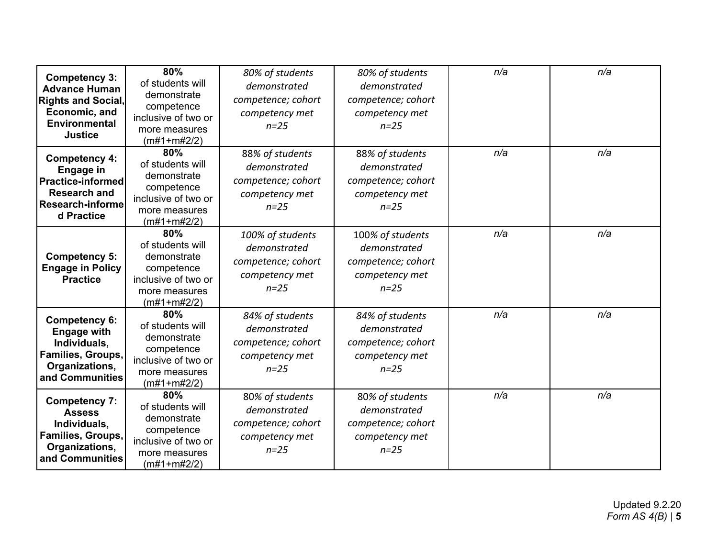| <b>Competency 3:</b><br><b>Advance Human</b><br><b>Rights and Social,</b><br>Economic, and<br><b>Environmental</b><br><b>Justice</b> | 80%<br>of students will<br>demonstrate<br>competence<br>inclusive of two or<br>more measures<br>$(m#1+m#2/2)$   | 80% of students<br>demonstrated<br>competence; cohort<br>competency met<br>$n=25$   | 80% of students<br>demonstrated<br>competence; cohort<br>competency met<br>$n=25$   | n/a | n/a |
|--------------------------------------------------------------------------------------------------------------------------------------|-----------------------------------------------------------------------------------------------------------------|-------------------------------------------------------------------------------------|-------------------------------------------------------------------------------------|-----|-----|
| <b>Competency 4:</b><br><b>Engage in</b><br><b>Practice-informed</b><br><b>Research and</b><br><b>Research-informe</b><br>d Practice | 80%<br>of students will<br>demonstrate<br>competence<br>inclusive of two or<br>more measures<br>$(m#1 + m#2/2)$ | 88% of students<br>demonstrated<br>competence; cohort<br>competency met<br>$n=25$   | 88% of students<br>demonstrated<br>competence; cohort<br>competency met<br>$n=25$   | n/a | n/a |
| <b>Competency 5:</b><br><b>Engage in Policy</b><br><b>Practice</b>                                                                   | 80%<br>of students will<br>demonstrate<br>competence<br>inclusive of two or<br>more measures<br>$(m#1 + m#2/2)$ | 100% of students<br>demonstrated<br>competence; cohort<br>competency met<br>$n=25$  | 100% of students<br>demonstrated<br>competence; cohort<br>competency met<br>$n=25$  | n/a | n/a |
| <b>Competency 6:</b><br><b>Engage with</b><br>Individuals,<br>Families, Groups,<br>Organizations,<br>and Communities                 | 80%<br>of students will<br>demonstrate<br>competence<br>inclusive of two or<br>more measures<br>$(m#1 + m#2/2)$ | 84% of students<br>demonstrated<br>competence; cohort<br>competency met<br>$n = 25$ | 84% of students<br>demonstrated<br>competence; cohort<br>competency met<br>$n = 25$ | n/a | n/a |
| <b>Competency 7:</b><br><b>Assess</b><br>Individuals,<br>Families, Groups,<br>Organizations,<br>and Communities                      | 80%<br>of students will<br>demonstrate<br>competence<br>inclusive of two or<br>more measures<br>$(m#1+m#2/2)$   | 80% of students<br>demonstrated<br>competence; cohort<br>competency met<br>$n = 25$ | 80% of students<br>demonstrated<br>competence; cohort<br>competency met<br>$n = 25$ | n/a | n/a |